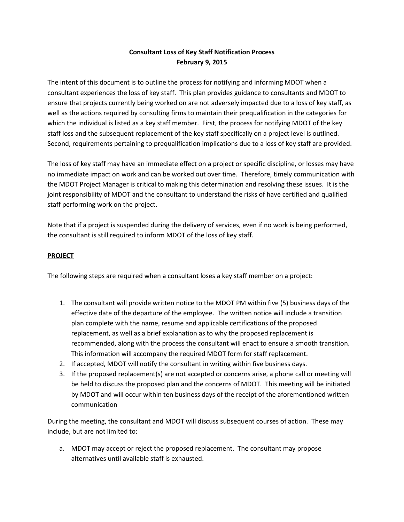# **Consultant Loss of Key Staff Notification Process February 9, 2015**

The intent of this document is to outline the process for notifying and informing MDOT when a consultant experiences the loss of key staff. This plan provides guidance to consultants and MDOT to ensure that projects currently being worked on are not adversely impacted due to a loss of key staff, as well as the actions required by consulting firms to maintain their prequalification in the categories for which the individual is listed as a key staff member. First, the process for notifying MDOT of the key staff loss and the subsequent replacement of the key staff specifically on a project level is outlined. Second, requirements pertaining to prequalification implications due to a loss of key staff are provided.

The loss of key staff may have an immediate effect on a project or specific discipline, or losses may have no immediate impact on work and can be worked out over time. Therefore, timely communication with the MDOT Project Manager is critical to making this determination and resolving these issues. It is the joint responsibility of MDOT and the consultant to understand the risks of have certified and qualified staff performing work on the project.

Note that if a project is suspended during the delivery of services, even if no work is being performed, the consultant is still required to inform MDOT of the loss of key staff.

#### **PROJECT**

The following steps are required when a consultant loses a key staff member on a project:

- 1. The consultant will provide written notice to the MDOT PM within five (5) business days of the effective date of the departure of the employee. The written notice will include a transition plan complete with the name, resume and applicable certifications of the proposed replacement, as well as a brief explanation as to why the proposed replacement is recommended, along with the process the consultant will enact to ensure a smooth transition. This information will accompany the required MDOT form for staff replacement.
- 2. If accepted, MDOT will notify the consultant in writing within five business days.
- 3. If the proposed replacement(s) are not accepted or concerns arise, a phone call or meeting will be held to discuss the proposed plan and the concerns of MDOT. This meeting will be initiated by MDOT and will occur within ten business days of the receipt of the aforementioned written communication

During the meeting, the consultant and MDOT will discuss subsequent courses of action. These may include, but are not limited to:

a. MDOT may accept or reject the proposed replacement. The consultant may propose alternatives until available staff is exhausted.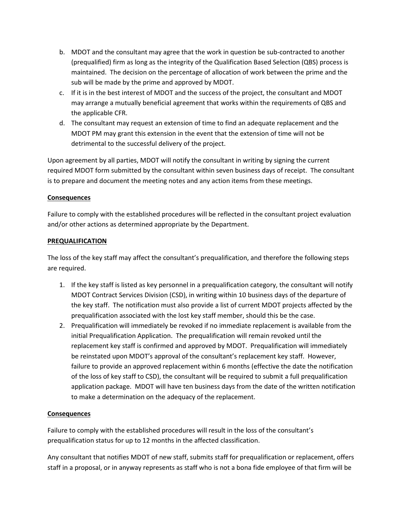- b. MDOT and the consultant may agree that the work in question be sub-contracted to another (prequalified) firm as long as the integrity of the Qualification Based Selection (QBS) process is maintained. The decision on the percentage of allocation of work between the prime and the sub will be made by the prime and approved by MDOT.
- c. If it is in the best interest of MDOT and the success of the project, the consultant and MDOT may arrange a mutually beneficial agreement that works within the requirements of QBS and the applicable CFR.
- d. The consultant may request an extension of time to find an adequate replacement and the MDOT PM may grant this extension in the event that the extension of time will not be detrimental to the successful delivery of the project.

Upon agreement by all parties, MDOT will notify the consultant in writing by signing the current required MDOT form submitted by the consultant within seven business days of receipt. The consultant is to prepare and document the meeting notes and any action items from these meetings.

## **Consequences**

Failure to comply with the established procedures will be reflected in the consultant project evaluation and/or other actions as determined appropriate by the Department.

#### **PREQUALIFICATION**

The loss of the key staff may affect the consultant's prequalification, and therefore the following steps are required.

- 1. If the key staff is listed as key personnel in a prequalification category, the consultant will notify MDOT Contract Services Division (CSD), in writing within 10 business days of the departure of the key staff. The notification must also provide a list of current MDOT projects affected by the prequalification associated with the lost key staff member, should this be the case.
- 2. Prequalification will immediately be revoked if no immediate replacement is available from the initial Prequalification Application. The prequalification will remain revoked until the replacement key staff is confirmed and approved by MDOT. Prequalification will immediately be reinstated upon MDOT's approval of the consultant's replacement key staff. However, failure to provide an approved replacement within 6 months (effective the date the notification of the loss of key staff to CSD), the consultant will be required to submit a full prequalification application package. MDOT will have ten business days from the date of the written notification to make a determination on the adequacy of the replacement.

## **Consequences**

Failure to comply with the established procedures will result in the loss of the consultant's prequalification status for up to 12 months in the affected classification.

Any consultant that notifies MDOT of new staff, submits staff for prequalification or replacement, offers staff in a proposal, or in anyway represents as staff who is not a bona fide employee of that firm will be